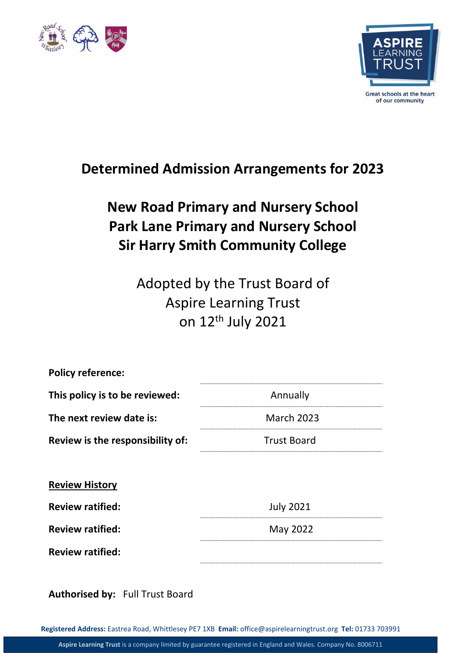



## **Determined Admission Arrangements for 2023**

# **New Road Primary and Nursery School Park Lane Primary and Nursery School Sir Harry Smith Community College**

Adopted by the Trust Board of Aspire Learning Trust on 12th July 2021

| <b>Policy reference:</b>         |                    |  |
|----------------------------------|--------------------|--|
| This policy is to be reviewed:   | Annually           |  |
| The next review date is:         | <b>March 2023</b>  |  |
| Review is the responsibility of: | <b>Trust Board</b> |  |
|                                  |                    |  |
| <b>Review History</b>            |                    |  |
| <b>Review ratified:</b>          | <b>July 2021</b>   |  |
| <b>Review ratified:</b>          | May 2022           |  |
| <b>Review ratified:</b>          |                    |  |
|                                  |                    |  |

**Authorised by:** Full Trust Board

**Registered Address:** Eastrea Road, Whittlesey PE7 1XB **Email:** office@aspirelearningtrust.org **Tel:** 01733 703991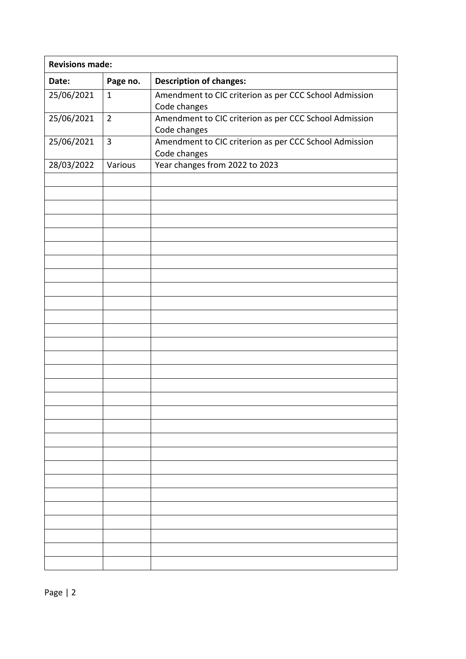| <b>Revisions made:</b> |                |                                                                        |
|------------------------|----------------|------------------------------------------------------------------------|
| Date:                  | Page no.       | <b>Description of changes:</b>                                         |
| 25/06/2021             | $\mathbf{1}$   | Amendment to CIC criterion as per CCC School Admission<br>Code changes |
| 25/06/2021             | $\overline{2}$ | Amendment to CIC criterion as per CCC School Admission<br>Code changes |
| 25/06/2021             | 3              | Amendment to CIC criterion as per CCC School Admission<br>Code changes |
| 28/03/2022             | Various        | Year changes from 2022 to 2023                                         |
|                        |                |                                                                        |
|                        |                |                                                                        |
|                        |                |                                                                        |
|                        |                |                                                                        |
|                        |                |                                                                        |
|                        |                |                                                                        |
|                        |                |                                                                        |
|                        |                |                                                                        |
|                        |                |                                                                        |
|                        |                |                                                                        |
|                        |                |                                                                        |
|                        |                |                                                                        |
|                        |                |                                                                        |
|                        |                |                                                                        |
|                        |                |                                                                        |
|                        |                |                                                                        |
|                        |                |                                                                        |
|                        |                |                                                                        |
|                        |                |                                                                        |
|                        |                |                                                                        |
|                        |                |                                                                        |
|                        |                |                                                                        |
|                        |                |                                                                        |
|                        |                |                                                                        |
|                        |                |                                                                        |
|                        |                |                                                                        |
|                        |                |                                                                        |
|                        |                |                                                                        |
|                        |                |                                                                        |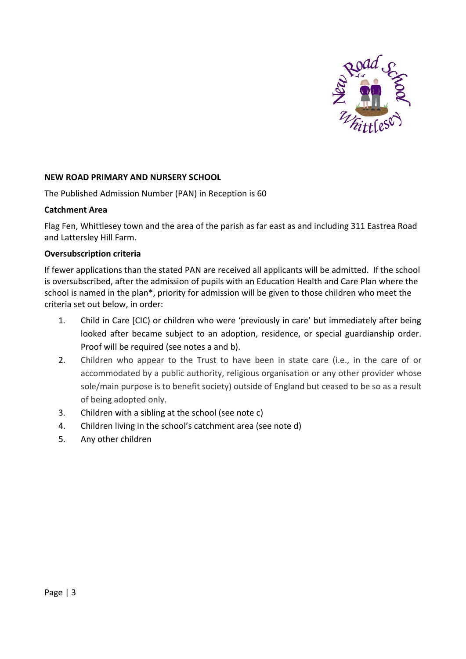

#### **NEW ROAD PRIMARY AND NURSERY SCHOOL**

The Published Admission Number (PAN) in Reception is 60

#### **Catchment Area**

Flag Fen, Whittlesey town and the area of the parish as far east as and including 311 Eastrea Road and Lattersley Hill Farm.

#### **Oversubscription criteria**

If fewer applications than the stated PAN are received all applicants will be admitted. If the school is oversubscribed, after the admission of pupils with an Education Health and Care Plan where the school is named in the plan\*, priority for admission will be given to those children who meet the criteria set out below, in order:

- 1. Child in Care [CIC) or children who were 'previously in care' but immediately after being looked after became subject to an adoption, residence, or special guardianship order. Proof will be required (see notes a and b).
- 2. Children who appear to the Trust to have been in state care (i.e., in the care of or accommodated by a public authority, religious organisation or any other provider whose sole/main purpose is to benefit society) outside of England but ceased to be so as a result of being adopted only.
- 3. Children with a sibling at the school (see note c)
- 4. Children living in the school's catchment area (see note d)
- 5. Any other children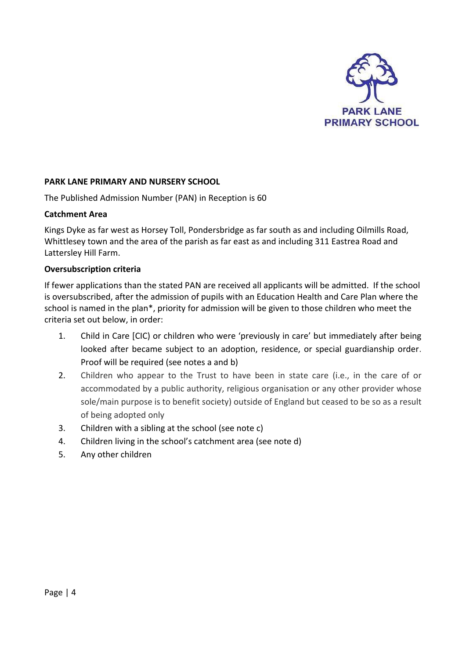

#### **PARK LANE PRIMARY AND NURSERY SCHOOL**

The Published Admission Number (PAN) in Reception is 60

#### **Catchment Area**

Kings Dyke as far west as Horsey Toll, Pondersbridge as far south as and including Oilmills Road, Whittlesey town and the area of the parish as far east as and including 311 Eastrea Road and Lattersley Hill Farm.

#### **Oversubscription criteria**

If fewer applications than the stated PAN are received all applicants will be admitted. If the school is oversubscribed, after the admission of pupils with an Education Health and Care Plan where the school is named in the plan\*, priority for admission will be given to those children who meet the criteria set out below, in order:

- 1. Child in Care [CIC) or children who were 'previously in care' but immediately after being looked after became subject to an adoption, residence, or special guardianship order. Proof will be required (see notes a and b)
- 2. Children who appear to the Trust to have been in state care (i.e., in the care of or accommodated by a public authority, religious organisation or any other provider whose sole/main purpose is to benefit society) outside of England but ceased to be so as a result of being adopted only
- 3. Children with a sibling at the school (see note c)
- 4. Children living in the school's catchment area (see note d)
- 5. Any other children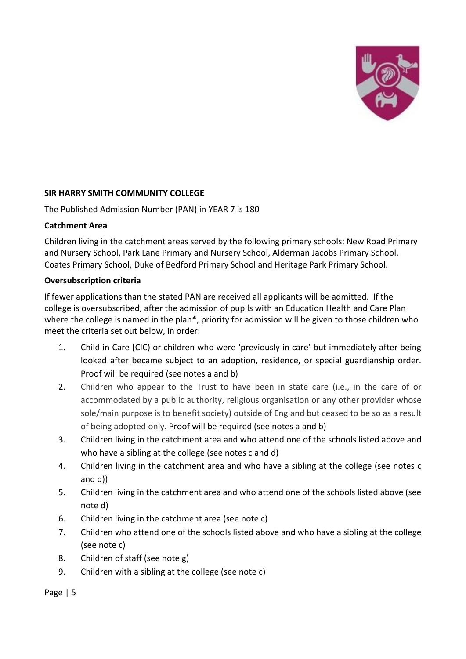

#### **SIR HARRY SMITH COMMUNITY COLLEGE**

The Published Admission Number (PAN) in YEAR 7 is 180

#### **Catchment Area**

Children living in the catchment areas served by the following primary schools: New Road Primary and Nursery School, Park Lane Primary and Nursery School, Alderman Jacobs Primary School, Coates Primary School, Duke of Bedford Primary School and Heritage Park Primary School.

#### **Oversubscription criteria**

If fewer applications than the stated PAN are received all applicants will be admitted. If the college is oversubscribed, after the admission of pupils with an Education Health and Care Plan where the college is named in the plan\*, priority for admission will be given to those children who meet the criteria set out below, in order:

- 1. Child in Care [CIC) or children who were 'previously in care' but immediately after being looked after became subject to an adoption, residence, or special guardianship order. Proof will be required (see notes a and b)
- 2. Children who appear to the Trust to have been in state care (i.e., in the care of or accommodated by a public authority, religious organisation or any other provider whose sole/main purpose is to benefit society) outside of England but ceased to be so as a result of being adopted only. Proof will be required (see notes a and b)
- 3. Children living in the catchment area and who attend one of the schools listed above and who have a sibling at the college (see notes c and d)
- 4. Children living in the catchment area and who have a sibling at the college (see notes c and d))
- 5. Children living in the catchment area and who attend one of the schools listed above (see note d)
- 6. Children living in the catchment area (see note c)
- 7. Children who attend one of the schools listed above and who have a sibling at the college (see note c)
- 8. Children of staff (see note g)
- 9. Children with a sibling at the college (see note c)

Page | 5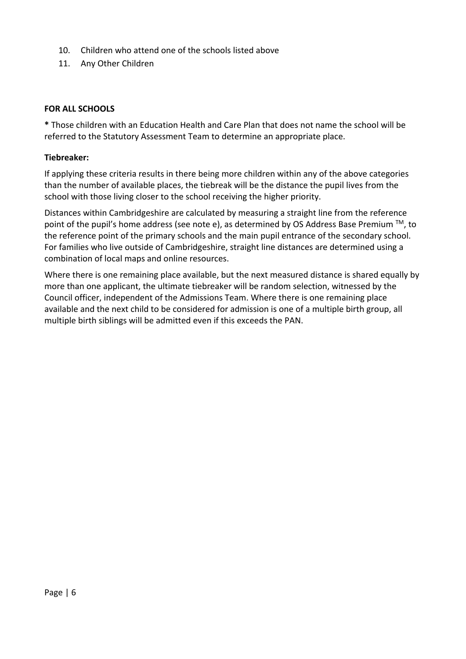- 10. Children who attend one of the schools listed above
- 11. Any Other Children

#### **FOR ALL SCHOOLS**

**\*** Those children with an Education Health and Care Plan that does not name the school will be referred to the Statutory Assessment Team to determine an appropriate place.

#### **Tiebreaker:**

If applying these criteria results in there being more children within any of the above categories than the number of available places, the tiebreak will be the distance the pupil lives from the school with those living closer to the school receiving the higher priority.

Distances within Cambridgeshire are calculated by measuring a straight line from the reference point of the pupil's home address (see note e), as determined by OS Address Base Premium ™, to the reference point of the primary schools and the main pupil entrance of the secondary school. For families who live outside of Cambridgeshire, straight line distances are determined using a combination of local maps and online resources.

Where there is one remaining place available, but the next measured distance is shared equally by more than one applicant, the ultimate tiebreaker will be random selection, witnessed by the Council officer, independent of the Admissions Team. Where there is one remaining place available and the next child to be considered for admission is one of a multiple birth group, all multiple birth siblings will be admitted even if this exceeds the PAN.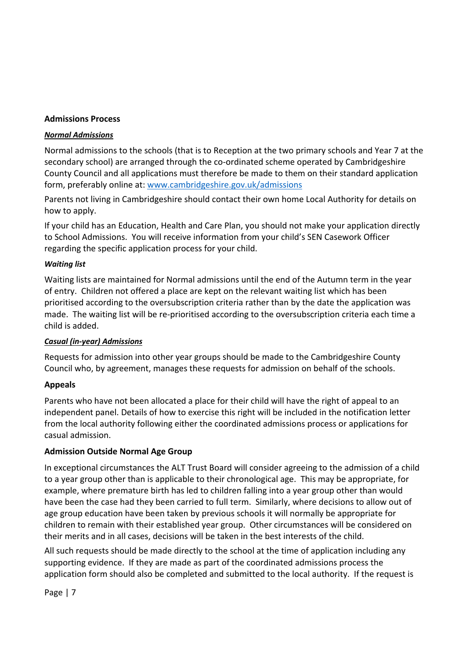#### **Admissions Process**

#### *Normal Admissions*

Normal admissions to the schools (that is to Reception at the two primary schools and Year 7 at the secondary school) are arranged through the co-ordinated scheme operated by Cambridgeshire County Council and all applications must therefore be made to them on their standard application form, preferably online at: [www.cambridgeshire.gov.uk/admissions](http://www.cambridgeshire.gov.uk/admissions)

Parents not living in Cambridgeshire should contact their own home Local Authority for details on how to apply.

If your child has an Education, Health and Care Plan, you should not make your application directly to School Admissions. You will receive information from your child's SEN Casework Officer regarding the specific application process for your child.

#### *Waiting list*

Waiting lists are maintained for Normal admissions until the end of the Autumn term in the year of entry. Children not offered a place are kept on the relevant waiting list which has been prioritised according to the oversubscription criteria rather than by the date the application was made. The waiting list will be re-prioritised according to the oversubscription criteria each time a child is added.

#### *Casual (in-year) Admissions*

Requests for admission into other year groups should be made to the Cambridgeshire County Council who, by agreement, manages these requests for admission on behalf of the schools.

#### **Appeals**

Parents who have not been allocated a place for their child will have the right of appeal to an independent panel. Details of how to exercise this right will be included in the notification letter from the local authority following either the coordinated admissions process or applications for casual admission.

#### **Admission Outside Normal Age Group**

In exceptional circumstances the ALT Trust Board will consider agreeing to the admission of a child to a year group other than is applicable to their chronological age. This may be appropriate, for example, where premature birth has led to children falling into a year group other than would have been the case had they been carried to full term. Similarly, where decisions to allow out of age group education have been taken by previous schools it will normally be appropriate for children to remain with their established year group. Other circumstances will be considered on their merits and in all cases, decisions will be taken in the best interests of the child.

All such requests should be made directly to the school at the time of application including any supporting evidence. If they are made as part of the coordinated admissions process the application form should also be completed and submitted to the local authority. If the request is

Page | 7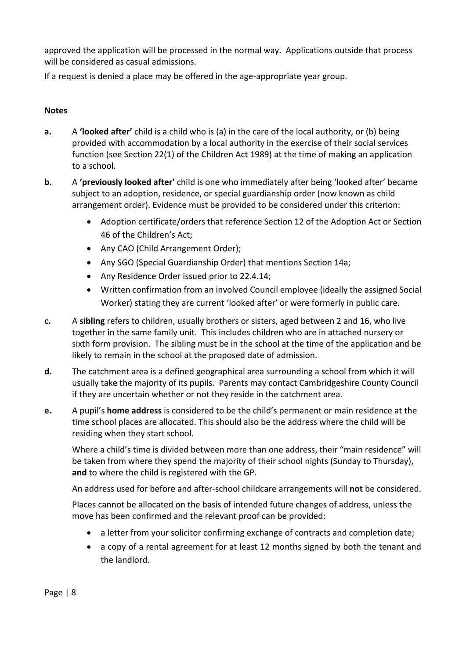approved the application will be processed in the normal way. Applications outside that process will be considered as casual admissions.

If a request is denied a place may be offered in the age-appropriate year group.

### **Notes**

- **a.** A **'looked after'** child is a child who is (a) in the care of the local authority, or (b) being provided with accommodation by a local authority in the exercise of their social services function (see Section 22(1) of the Children Act 1989) at the time of making an application to a school.
- **b.** A **'previously looked after'** child is one who immediately after being 'looked after' became subject to an adoption, residence, or special guardianship order (now known as child arrangement order). Evidence must be provided to be considered under this criterion:
	- Adoption certificate/orders that reference Section 12 of the Adoption Act or Section 46 of the Children's Act;
	- Any CAO (Child Arrangement Order);
	- Any SGO (Special Guardianship Order) that mentions Section 14a;
	- Any Residence Order issued prior to 22.4.14;
	- Written confirmation from an involved Council employee (ideally the assigned Social Worker) stating they are current 'looked after' or were formerly in public care.
- **c.** A **sibling** refers to children, usually brothers or sisters, aged between 2 and 16, who live together in the same family unit. This includes children who are in attached nursery or sixth form provision. The sibling must be in the school at the time of the application and be likely to remain in the school at the proposed date of admission.
- **d.** The catchment area is a defined geographical area surrounding a school from which it will usually take the majority of its pupils. Parents may contact Cambridgeshire County Council if they are uncertain whether or not they reside in the catchment area.
- **e.** A pupil's **home address** is considered to be the child's permanent or main residence at the time school places are allocated. This should also be the address where the child will be residing when they start school.

Where a child's time is divided between more than one address, their "main residence" will be taken from where they spend the majority of their school nights (Sunday to Thursday), **and** to where the child is registered with the GP.

An address used for before and after-school childcare arrangements will **not** be considered.

Places cannot be allocated on the basis of intended future changes of address, unless the move has been confirmed and the relevant proof can be provided:

- a letter from your solicitor confirming exchange of contracts and completion date;
- a copy of a rental agreement for at least 12 months signed by both the tenant and the landlord.